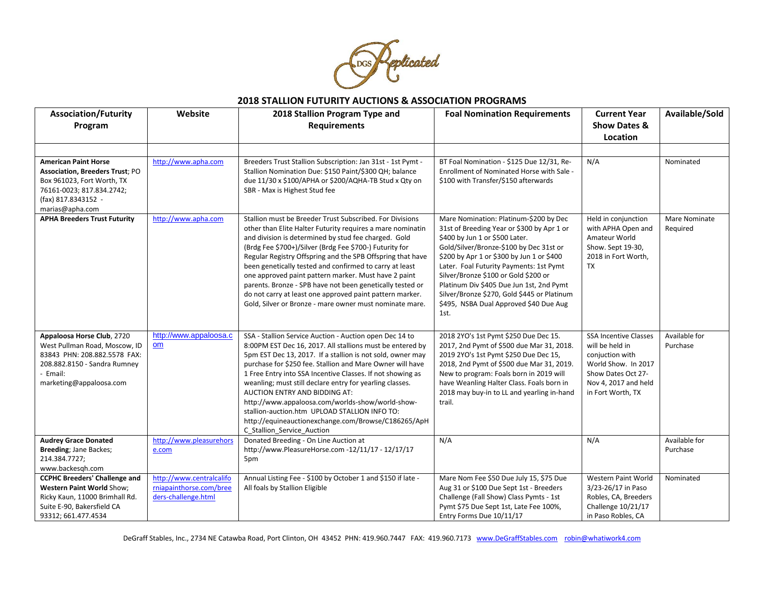

| <b>Association/Futurity</b>                                                                                                                                                | Website                                                                    | 2018 Stallion Program Type and                                                                                                                                                                                                                                                                                                                                                                                                                                                                                                                                                                                 | <b>Foal Nomination Requirements</b>                                                                                                                                                                                                                                                                                                                                                                                                            | <b>Current Year</b>                                                                                                                                          | Available/Sold            |
|----------------------------------------------------------------------------------------------------------------------------------------------------------------------------|----------------------------------------------------------------------------|----------------------------------------------------------------------------------------------------------------------------------------------------------------------------------------------------------------------------------------------------------------------------------------------------------------------------------------------------------------------------------------------------------------------------------------------------------------------------------------------------------------------------------------------------------------------------------------------------------------|------------------------------------------------------------------------------------------------------------------------------------------------------------------------------------------------------------------------------------------------------------------------------------------------------------------------------------------------------------------------------------------------------------------------------------------------|--------------------------------------------------------------------------------------------------------------------------------------------------------------|---------------------------|
| Program                                                                                                                                                                    |                                                                            | <b>Requirements</b>                                                                                                                                                                                                                                                                                                                                                                                                                                                                                                                                                                                            |                                                                                                                                                                                                                                                                                                                                                                                                                                                | <b>Show Dates &amp;</b>                                                                                                                                      |                           |
|                                                                                                                                                                            |                                                                            |                                                                                                                                                                                                                                                                                                                                                                                                                                                                                                                                                                                                                |                                                                                                                                                                                                                                                                                                                                                                                                                                                | Location                                                                                                                                                     |                           |
|                                                                                                                                                                            |                                                                            |                                                                                                                                                                                                                                                                                                                                                                                                                                                                                                                                                                                                                |                                                                                                                                                                                                                                                                                                                                                                                                                                                |                                                                                                                                                              |                           |
| <b>American Paint Horse</b><br><b>Association, Breeders Trust; PO</b><br>Box 961023, Fort Worth, TX<br>76161-0023; 817.834.2742;<br>(fax) 817.8343152 -<br>marias@apha.com | http://www.apha.com                                                        | Breeders Trust Stallion Subscription: Jan 31st - 1st Pymt -<br>Stallion Nomination Due: \$150 Paint/\$300 QH; balance<br>due 11/30 x \$100/APHA or \$200/AQHA-TB Stud x Qty on<br>SBR - Max is Highest Stud fee                                                                                                                                                                                                                                                                                                                                                                                                | BT Foal Nomination - \$125 Due 12/31, Re-<br>Enrollment of Nominated Horse with Sale -<br>\$100 with Transfer/\$150 afterwards                                                                                                                                                                                                                                                                                                                 | N/A                                                                                                                                                          | Nominated                 |
| <b>APHA Breeders Trust Futurity</b>                                                                                                                                        | http://www.apha.com                                                        | Stallion must be Breeder Trust Subscribed. For Divisions<br>other than Elite Halter Futurity requires a mare nominatin<br>and division is determined by stud fee charged. Gold<br>(Brdg Fee \$700+)/Silver (Brdg Fee \$700-) Futurity for<br>Regular Registry Offspring and the SPB Offspring that have<br>been genetically tested and confirmed to carry at least<br>one approved paint pattern marker. Must have 2 paint<br>parents. Bronze - SPB have not been genetically tested or<br>do not carry at least one approved paint pattern marker.<br>Gold, Silver or Bronze - mare owner must nominate mare. | Mare Nomination: Platinum-\$200 by Dec<br>31st of Breeding Year or \$300 by Apr 1 or<br>\$400 by Jun 1 or \$500 Later.<br>Gold/Silver/Bronze-\$100 by Dec 31st or<br>\$200 by Apr 1 or \$300 by Jun 1 or \$400<br>Later. Foal Futurity Payments: 1st Pymt<br>Silver/Bronze \$100 or Gold \$200 or<br>Platinum Div \$405 Due Jun 1st, 2nd Pymt<br>Silver/Bronze \$270, Gold \$445 or Platinum<br>\$495, NSBA Dual Approved \$40 Due Aug<br>1st. | Held in conjunction<br>with APHA Open and<br>Amateur World<br>Show. Sept 19-30,<br>2018 in Fort Worth,<br>TX                                                 | Mare Nominate<br>Required |
| Appaloosa Horse Club, 2720<br>West Pullman Road, Moscow, ID<br>83843 PHN: 208.882.5578 FAX:<br>208.882.8150 - Sandra Rumney<br>- Email:<br>marketing@appaloosa.com         | http://www.appaloosa.c<br>om                                               | SSA - Stallion Service Auction - Auction open Dec 14 to<br>8:00PM EST Dec 16, 2017. All stallions must be entered by<br>5pm EST Dec 13, 2017. If a stallion is not sold, owner may<br>purchase for \$250 fee. Stallion and Mare Owner will have<br>1 Free Entry into SSA Incentive Classes. If not showing as<br>weanling; must still declare entry for yearling classes.<br>AUCTION ENTRY AND BIDDING AT:<br>http://www.appaloosa.com/worlds-show/world-show-<br>stallion-auction.htm UPLOAD STALLION INFO TO:<br>http://equineauctionexchange.com/Browse/C186265/ApH<br>C_Stallion_Service_Auction           | 2018 2YO's 1st Pymt \$250 Due Dec 15.<br>2017, 2nd Pymt of \$500 due Mar 31, 2018.<br>2019 2YO's 1st Pymt \$250 Due Dec 15,<br>2018, 2nd Pymt of \$500 due Mar 31, 2019.<br>New to program: Foals born in 2019 will<br>have Weanling Halter Class. Foals born in<br>2018 may buy-in to LL and yearling in-hand<br>trail.                                                                                                                       | <b>SSA Incentive Classes</b><br>will be held in<br>conjuction with<br>World Show. In 2017<br>Show Dates Oct 27-<br>Nov 4, 2017 and held<br>in Fort Worth, TX | Available for<br>Purchase |
| <b>Audrey Grace Donated</b><br>Breeding; Jane Backes;<br>214.384.7727;<br>www.backesgh.com                                                                                 | http://www.pleasurehors<br>e.com                                           | Donated Breeding - On Line Auction at<br>http://www.PleasureHorse.com -12/11/17 - 12/17/17<br>5pm                                                                                                                                                                                                                                                                                                                                                                                                                                                                                                              | N/A                                                                                                                                                                                                                                                                                                                                                                                                                                            | N/A                                                                                                                                                          | Available for<br>Purchase |
| <b>CCPHC Breeders' Challenge and</b><br>Western Paint World Show;<br>Ricky Kaun, 11000 Brimhall Rd.<br>Suite E-90, Bakersfield CA<br>93312; 661.477.4534                   | http://www.centralcalifo<br>rniapainthorse.com/bree<br>ders-challenge.html | Annual Listing Fee - \$100 by October 1 and \$150 if late -<br>All foals by Stallion Eligible                                                                                                                                                                                                                                                                                                                                                                                                                                                                                                                  | Mare Nom Fee \$50 Due July 15, \$75 Due<br>Aug 31 or \$100 Due Sept 1st - Breeders<br>Challenge (Fall Show) Class Pymts - 1st<br>Pymt \$75 Due Sept 1st, Late Fee 100%,<br>Entry Forms Due 10/11/17                                                                                                                                                                                                                                            | Western Paint World<br>3/23-26/17 in Paso<br>Robles, CA, Breeders<br>Challenge 10/21/17<br>in Paso Robles, CA                                                | Nominated                 |

DeGraff Stables, Inc., 2734 NE Catawba Road, Port Clinton, OH 43452 PHN: 419.960.7447 FAX: 419.960.7173 [www.DeGraffStables.com](http://www.degraffstables.com/) [robin@whatiwork4.com](mailto:robin@whatiwork4.com)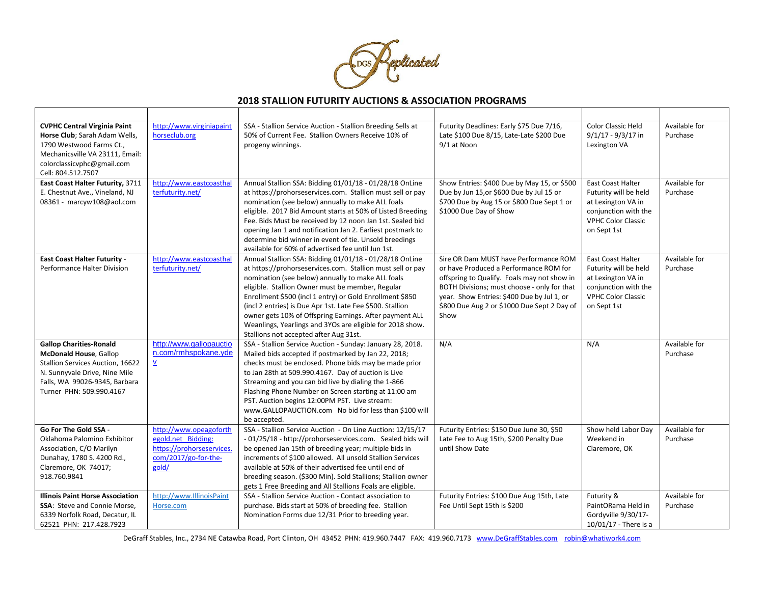

| <b>CVPHC Central Virginia Paint</b><br>Horse Club; Sarah Adam Wells,<br>1790 Westwood Farms Ct.,<br>Mechanicsville VA 23111, Email:<br>colorclassicvphc@gmail.com<br>Cell: 804.512.7507           | http://www.virginiapaint<br>horseclub.org                                                                  | SSA - Stallion Service Auction - Stallion Breeding Sells at<br>50% of Current Fee. Stallion Owners Receive 10% of<br>progeny winnings.                                                                                                                                                                                                                                                                                                                                                                                    | Futurity Deadlines: Early \$75 Due 7/16,<br>Late \$100 Due 8/15, Late-Late \$200 Due<br>9/1 at Noon                                                                                                                                                                                | Color Classic Held<br>$9/1/17 - 9/3/17$ in<br>Lexington VA                                                                                  | Available for<br>Purchase |
|---------------------------------------------------------------------------------------------------------------------------------------------------------------------------------------------------|------------------------------------------------------------------------------------------------------------|---------------------------------------------------------------------------------------------------------------------------------------------------------------------------------------------------------------------------------------------------------------------------------------------------------------------------------------------------------------------------------------------------------------------------------------------------------------------------------------------------------------------------|------------------------------------------------------------------------------------------------------------------------------------------------------------------------------------------------------------------------------------------------------------------------------------|---------------------------------------------------------------------------------------------------------------------------------------------|---------------------------|
| East Coast Halter Futurity, 3711<br>E. Chestnut Ave., Vineland, NJ<br>08361 - marcyw108@aol.com                                                                                                   | http://www.eastcoasthal<br>terfuturity.net/                                                                | Annual Stallion SSA: Bidding 01/01/18 - 01/28/18 OnLine<br>at https://prohorseservices.com. Stallion must sell or pay<br>nomination (see below) annually to make ALL foals<br>eligible. 2017 Bid Amount starts at 50% of Listed Breeding<br>Fee. Bids Must be received by 12 noon Jan 1st. Sealed bid<br>opening Jan 1 and notification Jan 2. Earliest postmark to<br>determine bid winner in event of tie. Unsold breedings<br>available for 60% of advertised fee until Jun 1st.                                       | Show Entries: \$400 Due by May 15, or \$500<br>Due by Jun 15, or \$600 Due by Jul 15 or<br>\$700 Due by Aug 15 or \$800 Due Sept 1 or<br>\$1000 Due Day of Show                                                                                                                    | <b>East Coast Halter</b><br>Futurity will be held<br>at Lexington VA in<br>conjunction with the<br><b>VPHC Color Classic</b><br>on Sept 1st | Available for<br>Purchase |
| <b>East Coast Halter Futurity -</b><br>Performance Halter Division                                                                                                                                | http://www.eastcoasthal<br>terfuturity.net/                                                                | Annual Stallion SSA: Bidding 01/01/18 - 01/28/18 OnLine<br>at https://prohorseservices.com. Stallion must sell or pay<br>nomination (see below) annually to make ALL foals<br>eligible. Stallion Owner must be member, Regular<br>Enrollment \$500 (incl 1 entry) or Gold Enrollment \$850<br>(incl 2 entries) is Due Apr 1st. Late Fee \$500. Stallion<br>owner gets 10% of Offspring Earnings. After payment ALL<br>Weanlings, Yearlings and 3YOs are eligible for 2018 show.<br>Stallions not accepted after Aug 31st. | Sire OR Dam MUST have Performance ROM<br>or have Produced a Performance ROM for<br>offspring to Qualify. Foals may not show in<br>BOTH Divisions; must choose - only for that<br>year. Show Entries: \$400 Due by Jul 1, or<br>\$800 Due Aug 2 or \$1000 Due Sept 2 Day of<br>Show | East Coast Halter<br>Futurity will be held<br>at Lexington VA in<br>conjunction with the<br><b>VPHC Color Classic</b><br>on Sept 1st        | Available for<br>Purchase |
| <b>Gallop Charities-Ronald</b><br><b>McDonald House, Gallop</b><br>Stallion Services Auction, 16622<br>N. Sunnyvale Drive, Nine Mile<br>Falls, WA 99026-9345, Barbara<br>Turner PHN: 509.990.4167 | http://www.gallopauctio<br>n.com/rmhspokane.yde<br>$\overline{\Lambda}$                                    | SSA - Stallion Service Auction - Sunday: January 28, 2018.<br>Mailed bids accepted if postmarked by Jan 22, 2018;<br>checks must be enclosed. Phone bids may be made prior<br>to Jan 28th at 509.990.4167. Day of auction is Live<br>Streaming and you can bid live by dialing the 1-866<br>Flashing Phone Number on Screen starting at 11:00 am<br>PST. Auction begins 12:00PM PST. Live stream:<br>www.GALLOPAUCTION.com No bid for less than \$100 will<br>be accepted.                                                | N/A                                                                                                                                                                                                                                                                                | N/A                                                                                                                                         | Available for<br>Purchase |
| Go For The Gold SSA -<br>Oklahoma Palomino Exhibitor<br>Association, C/O Marilyn<br>Dunahay, 1780 S. 4200 Rd.,<br>Claremore, OK 74017;<br>918.760.9841                                            | http://www.opeagoforth<br>egold.net Bidding:<br>https://prohorseservices.<br>com/2017/go-for-the-<br>gold/ | SSA - Stallion Service Auction - On Line Auction: 12/15/17<br>- 01/25/18 - http://prohorseservices.com. Sealed bids will<br>be opened Jan 15th of breeding year; multiple bids in<br>increments of \$100 allowed. All unsold Stallion Services<br>available at 50% of their advertised fee until end of<br>breeding season. (\$300 Min). Sold Stallions; Stallion owner<br>gets 1 Free Breeding and All Stallions Foals are eligible.                                                                                     | Futurity Entries: \$150 Due June 30, \$50<br>Late Fee to Aug 15th, \$200 Penalty Due<br>until Show Date                                                                                                                                                                            | Show held Labor Day<br>Weekend in<br>Claremore, OK                                                                                          | Available for<br>Purchase |
| <b>Illinois Paint Horse Association</b><br><b>SSA: Steve and Connie Morse,</b><br>6339 Norfolk Road, Decatur, IL<br>62521 PHN: 217.428.7923                                                       | http://www.IllinoisPaint<br>Horse.com                                                                      | SSA - Stallion Service Auction - Contact association to<br>purchase. Bids start at 50% of breeding fee. Stallion<br>Nomination Forms due 12/31 Prior to breeding year.                                                                                                                                                                                                                                                                                                                                                    | Futurity Entries: \$100 Due Aug 15th, Late<br>Fee Until Sept 15th is \$200                                                                                                                                                                                                         | Futurity &<br>PaintORama Held in<br>Gordyville 9/30/17-<br>10/01/17 - There is a                                                            | Available for<br>Purchase |

DeGraff Stables, Inc., 2734 NE Catawba Road, Port Clinton, OH 43452 PHN: 419.960.7447 FAX: 419.960.7173 [www.DeGraffStables.com](http://www.degraffstables.com/) [robin@whatiwork4.com](mailto:robin@whatiwork4.com)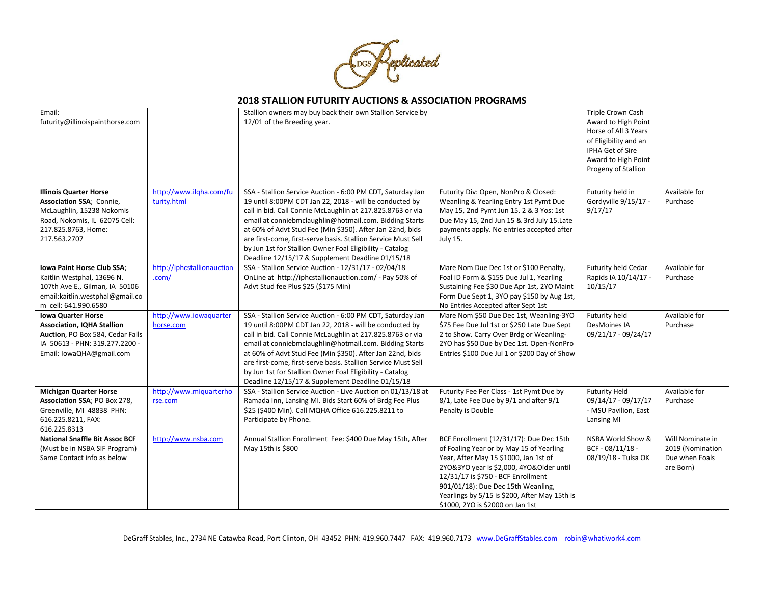

| Email:<br>futurity@illinoispainthorse.com                                                                                                                        |                                        | Stallion owners may buy back their own Stallion Service by<br>12/01 of the Breeding year.                                                                                                                                                                                                                                                                                                                                                                                                   |                                                                                                                                                                                                                                                                                                                                           | Triple Crown Cash<br>Award to High Point<br>Horse of All 3 Years<br>of Eligibility and an<br>IPHA Get of Sire<br>Award to High Point<br>Progeny of Stallion |                                                                     |
|------------------------------------------------------------------------------------------------------------------------------------------------------------------|----------------------------------------|---------------------------------------------------------------------------------------------------------------------------------------------------------------------------------------------------------------------------------------------------------------------------------------------------------------------------------------------------------------------------------------------------------------------------------------------------------------------------------------------|-------------------------------------------------------------------------------------------------------------------------------------------------------------------------------------------------------------------------------------------------------------------------------------------------------------------------------------------|-------------------------------------------------------------------------------------------------------------------------------------------------------------|---------------------------------------------------------------------|
| <b>Illinois Quarter Horse</b><br>Association SSA; Connie,<br>McLaughlin, 15238 Nokomis<br>Road, Nokomis, IL 62075 Cell:<br>217.825.8763, Home:<br>217.563.2707   | http://www.ilqha.com/fu<br>turity.html | SSA - Stallion Service Auction - 6:00 PM CDT, Saturday Jan<br>19 until 8:00PM CDT Jan 22, 2018 - will be conducted by<br>call in bid. Call Connie McLaughlin at 217.825.8763 or via<br>email at conniebmclaughlin@hotmail.com. Bidding Starts<br>at 60% of Advt Stud Fee (Min \$350). After Jan 22nd, bids<br>are first-come, first-serve basis. Stallion Service Must Sell<br>by Jun 1st for Stallion Owner Foal Eligibility - Catalog<br>Deadline 12/15/17 & Supplement Deadline 01/15/18 | Futurity Div: Open, NonPro & Closed:<br>Weanling & Yearling Entry 1st Pymt Due<br>May 15, 2nd Pymt Jun 15. 2 & 3 Yos: 1st<br>Due May 15, 2nd Jun 15 & 3rd July 15.Late<br>payments apply. No entries accepted after<br>July 15.                                                                                                           | Futurity held in<br>Gordyville 9/15/17 -<br>9/17/17                                                                                                         | Available for<br>Purchase                                           |
| Iowa Paint Horse Club SSA;<br>Kaitlin Westphal, 13696 N.<br>107th Ave E., Gilman, IA 50106<br>email:kaitlin.westphal@gmail.co<br>m cell: 641.990.6580            | http://iphcstallionauction<br>.com/    | SSA - Stallion Service Auction - 12/31/17 - 02/04/18<br>OnLine at http://iphcstallionauction.com/ - Pay 50% of<br>Advt Stud fee Plus \$25 (\$175 Min)                                                                                                                                                                                                                                                                                                                                       | Mare Nom Due Dec 1st or \$100 Penalty,<br>Foal ID Form & \$155 Due Jul 1, Yearling<br>Sustaining Fee \$30 Due Apr 1st, 2YO Maint<br>Form Due Sept 1, 3YO pay \$150 by Aug 1st,<br>No Entries Accepted after Sept 1st                                                                                                                      | Futurity held Cedar<br>Rapids IA 10/14/17 -<br>10/15/17                                                                                                     | Available for<br>Purchase                                           |
| <b>Iowa Quarter Horse</b><br><b>Association, IQHA Stallion</b><br>Auction, PO Box 584, Cedar Falls<br>IA 50613 - PHN: 319.277.2200 -<br>Email: IowaQHA@gmail.com | http://www.iowaguarter<br>horse.com    | SSA - Stallion Service Auction - 6:00 PM CDT, Saturday Jan<br>19 until 8:00PM CDT Jan 22, 2018 - will be conducted by<br>call in bid. Call Connie McLaughlin at 217.825.8763 or via<br>email at conniebmclaughlin@hotmail.com. Bidding Starts<br>at 60% of Advt Stud Fee (Min \$350). After Jan 22nd, bids<br>are first-come, first-serve basis. Stallion Service Must Sell<br>by Jun 1st for Stallion Owner Foal Eligibility - Catalog<br>Deadline 12/15/17 & Supplement Deadline 01/15/18 | Mare Nom \$50 Due Dec 1st, Weanling-3YO<br>\$75 Fee Due Jul 1st or \$250 Late Due Sept<br>2 to Show. Carry Over Brdg or Weanling-<br>2YO has \$50 Due by Dec 1st. Open-NonPro<br>Entries \$100 Due Jul 1 or \$200 Day of Show                                                                                                             | Futurity held<br><b>DesMoines IA</b><br>09/21/17 - 09/24/17                                                                                                 | Available for<br>Purchase                                           |
| <b>Michigan Quarter Horse</b><br>Association SSA; PO Box 278,<br>Greenville, MI 48838 PHN:<br>616.225.8211, FAX:<br>616.225.8313                                 | http://www.miquarterho<br>rse.com      | SSA - Stallion Service Auction - Live Auction on 01/13/18 at<br>Ramada Inn, Lansing MI. Bids Start 60% of Brdg Fee Plus<br>\$25 (\$400 Min). Call MQHA Office 616.225.8211 to<br>Participate by Phone.                                                                                                                                                                                                                                                                                      | Futurity Fee Per Class - 1st Pymt Due by<br>8/1, Late Fee Due by 9/1 and after 9/1<br>Penalty is Double                                                                                                                                                                                                                                   | <b>Futurity Held</b><br>09/14/17 - 09/17/17<br>- MSU Pavilion, East<br>Lansing MI                                                                           | Available for<br>Purchase                                           |
| <b>National Snaffle Bit Assoc BCF</b><br>(Must be in NSBA SIF Program)<br>Same Contact info as below                                                             | http://www.nsba.com                    | Annual Stallion Enrollment Fee: \$400 Due May 15th, After<br>May 15th is \$800                                                                                                                                                                                                                                                                                                                                                                                                              | BCF Enrollment (12/31/17): Due Dec 15th<br>of Foaling Year or by May 15 of Yearling<br>Year, After May 15 \$1000, Jan 1st of<br>2YO&3YO year is \$2,000, 4YO&Older until<br>12/31/17 is \$750 - BCF Enrollment<br>901/01/18): Due Dec 15th Weanling,<br>Yearlings by 5/15 is \$200, After May 15th is<br>\$1000, 2YO is \$2000 on Jan 1st | NSBA World Show &<br>BCF - 08/11/18 -<br>08/19/18 - Tulsa OK                                                                                                | Will Nominate in<br>2019 (Nomination<br>Due when Foals<br>are Born) |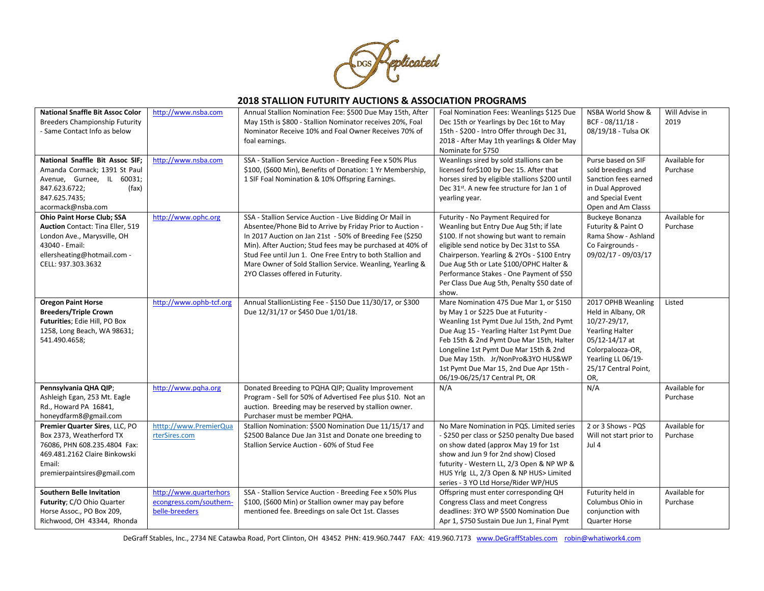

| <b>National Snaffle Bit Assoc Color</b><br><b>Breeders Championship Futurity</b><br>- Same Contact Info as below                                                                   | http://www.nsba.com                                                 | Annual Stallion Nomination Fee: \$500 Due May 15th, After<br>May 15th is \$800 - Stallion Nominator receives 20%, Foal<br>Nominator Receive 10% and Foal Owner Receives 70% of<br>foal earnings.                                                                                                                                                                                                             | Foal Nomination Fees: Weanlings \$125 Due<br>Dec 15th or Yearlings by Dec 16t to May<br>15th - \$200 - Intro Offer through Dec 31,<br>2018 - After May 1th yearlings & Older May<br>Nominate for \$750                                                                                                                                                                         | NSBA World Show &<br>BCF - 08/11/18 -<br>08/19/18 - Tulsa OK                                                                                                                       | Will Advise in<br>2019    |
|------------------------------------------------------------------------------------------------------------------------------------------------------------------------------------|---------------------------------------------------------------------|--------------------------------------------------------------------------------------------------------------------------------------------------------------------------------------------------------------------------------------------------------------------------------------------------------------------------------------------------------------------------------------------------------------|--------------------------------------------------------------------------------------------------------------------------------------------------------------------------------------------------------------------------------------------------------------------------------------------------------------------------------------------------------------------------------|------------------------------------------------------------------------------------------------------------------------------------------------------------------------------------|---------------------------|
| National Snaffle Bit Assoc SIF;<br>Amanda Cormack; 1391 St Paul<br>Avenue, Gurnee, IL 60031;<br>847.623.6722;<br>(fax)<br>847.625.7435;<br>acormack@nsba.com                       | http://www.nsba.com                                                 | SSA - Stallion Service Auction - Breeding Fee x 50% Plus<br>\$100, (\$600 Min), Benefits of Donation: 1 Yr Membership,<br>1 SIF Foal Nomination & 10% Offspring Earnings.                                                                                                                                                                                                                                    | Weanlings sired by sold stallions can be<br>licensed for\$100 by Dec 15. After that<br>horses sired by eligible stallions \$200 until<br>Dec 31 <sup>st</sup> . A new fee structure for Jan 1 of<br>yearling year.                                                                                                                                                             | Purse based on SIF<br>sold breedings and<br>Sanction fees earned<br>in Dual Approved<br>and Special Event<br>Open and Am Classs                                                    | Available for<br>Purchase |
| <b>Ohio Paint Horse Club; SSA</b><br><b>Auction</b> Contact: Tina Eller, 519<br>London Ave., Marysville, OH<br>43040 - Email:<br>ellersheating@hotmail.com -<br>CELL: 937.303.3632 | http://www.ophc.org                                                 | SSA - Stallion Service Auction - Live Bidding Or Mail in<br>Absentee/Phone Bid to Arrive by Friday Prior to Auction -<br>In 2017 Auction on Jan 21st - 50% of Breeding Fee (\$250<br>Min). After Auction; Stud fees may be purchased at 40% of<br>Stud Fee until Jun 1. One Free Entry to both Stallion and<br>Mare Owner of Sold Stallion Service. Weanling, Yearling &<br>2YO Classes offered in Futurity. | Futurity - No Payment Required for<br>Weanling but Entry Due Aug 5th; if late<br>\$100. If not showing but want to remain<br>eligible send notice by Dec 31st to SSA<br>Chairperson. Yearling & 2YOs - \$100 Entry<br>Due Aug 5th or Late \$100/OPHC Halter &<br>Performance Stakes - One Payment of \$50<br>Per Class Due Aug 5th, Penalty \$50 date of<br>show.              | <b>Buckeye Bonanza</b><br>Futurity & Paint O<br>Rama Show - Ashland<br>Co Fairgrounds -<br>09/02/17 - 09/03/17                                                                     | Available for<br>Purchase |
| <b>Oregon Paint Horse</b><br><b>Breeders/Triple Crown</b><br>Futurities; Edie Hill, PO Box<br>1258, Long Beach, WA 98631;<br>541.490.4658;                                         | http://www.ophb-tcf.org                                             | Annual StallionListing Fee - \$150 Due 11/30/17, or \$300<br>Due 12/31/17 or \$450 Due 1/01/18.                                                                                                                                                                                                                                                                                                              | Mare Nomination 475 Due Mar 1, or \$150<br>by May 1 or \$225 Due at Futurity -<br>Weanling 1st Pymt Due Jul 15th, 2nd Pymt<br>Due Aug 15 - Yearling Halter 1st Pymt Due<br>Feb 15th & 2nd Pymt Due Mar 15th, Halter<br>Longeline 1st Pymt Due Mar 15th & 2nd<br>Due May 15th. Jr/NonPro&3YO HUS&WP<br>1st Pymt Due Mar 15, 2nd Due Apr 15th -<br>06/19-06/25/17 Central Pt, OR | 2017 OPHB Weanling<br>Held in Albany, OR<br>$10/27 - 29/17$ ,<br><b>Yearling Halter</b><br>05/12-14/17 at<br>Colorpalooza-OR,<br>Yearling LL 06/19-<br>25/17 Central Point,<br>OR, | Listed                    |
| Pennsylvania QHA QIP;<br>Ashleigh Egan, 253 Mt. Eagle<br>Rd., Howard PA 16841,<br>honeydfarm8@gmail.com                                                                            | http://www.pqha.org                                                 | Donated Breeding to PQHA QIP; Quality Improvement<br>Program - Sell for 50% of Advertised Fee plus \$10. Not an<br>auction. Breeding may be reserved by stallion owner.<br>Purchaser must be member PQHA.                                                                                                                                                                                                    | N/A                                                                                                                                                                                                                                                                                                                                                                            | N/A                                                                                                                                                                                | Available for<br>Purchase |
| Premier Quarter Sires, LLC, PO<br>Box 2373, Weatherford TX<br>76086, PHN 608.235.4804 Fax:<br>469.481.2162 Claire Binkowski<br>Email:<br>premierpaintsires@gmail.com               | htttp://www.PremierQua<br>rterSires.com                             | Stallion Nomination: \$500 Nomination Due 11/15/17 and<br>\$2500 Balance Due Jan 31st and Donate one breeding to<br>Stallion Service Auction - 60% of Stud Fee                                                                                                                                                                                                                                               | No Mare Nomination in PQS. Limited series<br>- \$250 per class or \$250 penalty Due based<br>on show dated (approx May 19 for 1st<br>show and Jun 9 for 2nd show) Closed<br>futurity - Western LL, 2/3 Open & NP WP &<br>HUS Yrlg LL, 2/3 Open & NP HUS> Limited<br>series - 3 YO Ltd Horse/Rider WP/HUS                                                                       | 2 or 3 Shows - PQS<br>Will not start prior to<br>Jul 4                                                                                                                             | Available for<br>Purchase |
| <b>Southern Belle Invitation</b><br>Futurity; C/O Ohio Quarter<br>Horse Assoc., PO Box 209,<br>Richwood, OH 43344, Rhonda                                                          | http://www.quarterhors<br>econgress.com/southern-<br>belle-breeders | SSA - Stallion Service Auction - Breeding Fee x 50% Plus<br>\$100, (\$600 Min) or Stallion owner may pay before<br>mentioned fee. Breedings on sale Oct 1st. Classes                                                                                                                                                                                                                                         | Offspring must enter corresponding QH<br><b>Congress Class and meet Congress</b><br>deadlines: 3YO WP \$500 Nomination Due<br>Apr 1, \$750 Sustain Due Jun 1, Final Pymt                                                                                                                                                                                                       | Futurity held in<br>Columbus Ohio in<br>conjunction with<br><b>Quarter Horse</b>                                                                                                   | Available for<br>Purchase |

DeGraff Stables, Inc., 2734 NE Catawba Road, Port Clinton, OH 43452 PHN: 419.960.7447 FAX: 419.960.7173 [www.DeGraffStables.com](http://www.degraffstables.com/) [robin@whatiwork4.com](mailto:robin@whatiwork4.com)